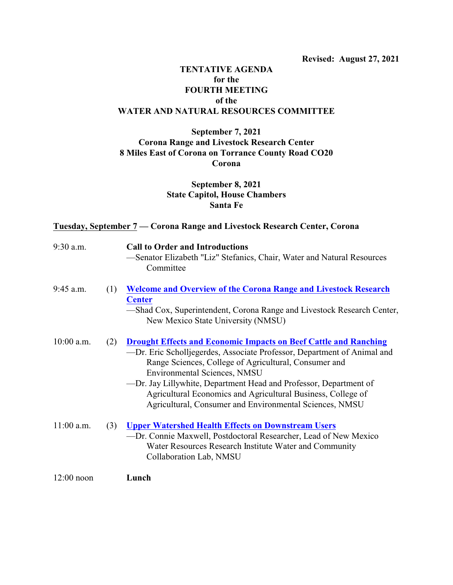# **TENTATIVE AGENDA for the FOURTH MEETING of the WATER AND NATURAL RESOURCES COMMITTEE**

# **September 7, 2021 Corona Range and Livestock Research Center 8 Miles East of Corona on Torrance County Road CO20 Corona**

# **September 8, 2021 State Capitol, House Chambers Santa Fe**

### **Tuesday, September 7 — Corona Range and Livestock Research Center, Corona**

| $9:30$ a.m.  |     | <b>Call to Order and Introductions</b><br>-Senator Elizabeth "Liz" Stefanics, Chair, Water and Natural Resources<br>Committee                                                                                                                                                                                                                                                                                                               |
|--------------|-----|---------------------------------------------------------------------------------------------------------------------------------------------------------------------------------------------------------------------------------------------------------------------------------------------------------------------------------------------------------------------------------------------------------------------------------------------|
| $9:45$ a.m.  | (1) | <b>Welcome and Overview of the Corona Range and Livestock Research</b><br><b>Center</b><br>-Shad Cox, Superintendent, Corona Range and Livestock Research Center,<br>New Mexico State University (NMSU)                                                                                                                                                                                                                                     |
| $10:00$ a.m. | (2) | <b>Drought Effects and Economic Impacts on Beef Cattle and Ranching</b><br>—Dr. Eric Scholljegerdes, Associate Professor, Department of Animal and<br>Range Sciences, College of Agricultural, Consumer and<br>Environmental Sciences, NMSU<br>-Dr. Jay Lillywhite, Department Head and Professor, Department of<br>Agricultural Economics and Agricultural Business, College of<br>Agricultural, Consumer and Environmental Sciences, NMSU |
| $11:00$ a.m. | (3) | <b>Upper Watershed Health Effects on Downstream Users</b><br>-Dr. Connie Maxwell, Postdoctoral Researcher, Lead of New Mexico<br>Water Resources Research Institute Water and Community<br>Collaboration Lab, NMSU                                                                                                                                                                                                                          |
| $12:00$ noon |     | Lunch                                                                                                                                                                                                                                                                                                                                                                                                                                       |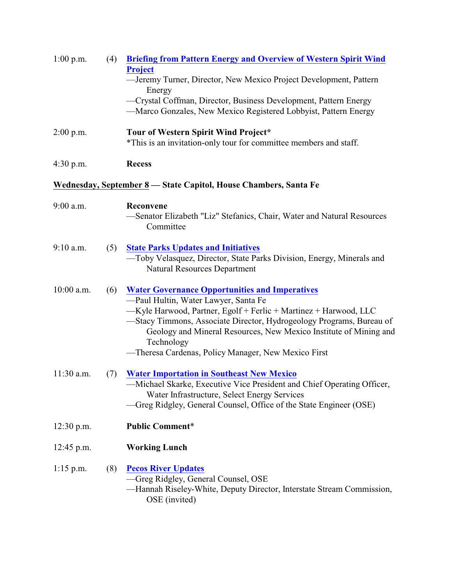| 1:00 p.m.    | (4) | <b>Briefing from Pattern Energy and Overview of Western Spirit Wind</b><br><b>Project</b>                                                                                                                                                                                                                                                                                           |  |  |
|--------------|-----|-------------------------------------------------------------------------------------------------------------------------------------------------------------------------------------------------------------------------------------------------------------------------------------------------------------------------------------------------------------------------------------|--|--|
|              |     | -Jeremy Turner, Director, New Mexico Project Development, Pattern                                                                                                                                                                                                                                                                                                                   |  |  |
|              |     | Energy<br>-Crystal Coffman, Director, Business Development, Pattern Energy<br>-Marco Gonzales, New Mexico Registered Lobbyist, Pattern Energy                                                                                                                                                                                                                                       |  |  |
| $2:00$ p.m.  |     | Tour of Western Spirit Wind Project*<br>*This is an invitation-only tour for committee members and staff.                                                                                                                                                                                                                                                                           |  |  |
| $4:30$ p.m.  |     | <b>Recess</b>                                                                                                                                                                                                                                                                                                                                                                       |  |  |
|              |     | Wednesday, September 8 - State Capitol, House Chambers, Santa Fe                                                                                                                                                                                                                                                                                                                    |  |  |
| 9:00 a.m.    |     | Reconvene<br>-Senator Elizabeth "Liz" Stefanics, Chair, Water and Natural Resources<br>Committee                                                                                                                                                                                                                                                                                    |  |  |
| $9:10$ a.m.  | (5) | <b>State Parks Updates and Initiatives</b><br>-Toby Velasquez, Director, State Parks Division, Energy, Minerals and<br><b>Natural Resources Department</b>                                                                                                                                                                                                                          |  |  |
| 10:00 a.m.   | (6) | <b>Water Governance Opportunities and Imperatives</b><br>-Paul Hultin, Water Lawyer, Santa Fe<br>-Kyle Harwood, Partner, Egolf + Ferlic + Martinez + Harwood, LLC<br>-Stacy Timmons, Associate Director, Hydrogeology Programs, Bureau of<br>Geology and Mineral Resources, New Mexico Institute of Mining and<br>Technology<br>-Theresa Cardenas, Policy Manager, New Mexico First |  |  |
| $11:30$ a.m. | (7) | <b>Water Importation in Southeast New Mexico</b><br>-Michael Skarke, Executive Vice President and Chief Operating Officer,<br>Water Infrastructure, Select Energy Services<br>-Greg Ridgley, General Counsel, Office of the State Engineer (OSE)                                                                                                                                    |  |  |
| $12:30$ p.m. |     | <b>Public Comment*</b>                                                                                                                                                                                                                                                                                                                                                              |  |  |
| $12:45$ p.m. |     | <b>Working Lunch</b>                                                                                                                                                                                                                                                                                                                                                                |  |  |
| $1:15$ p.m.  | (8) | <b>Pecos River Updates</b><br>-Greg Ridgley, General Counsel, OSE<br>—Hannah Riseley-White, Deputy Director, Interstate Stream Commission,<br>OSE (invited)                                                                                                                                                                                                                         |  |  |